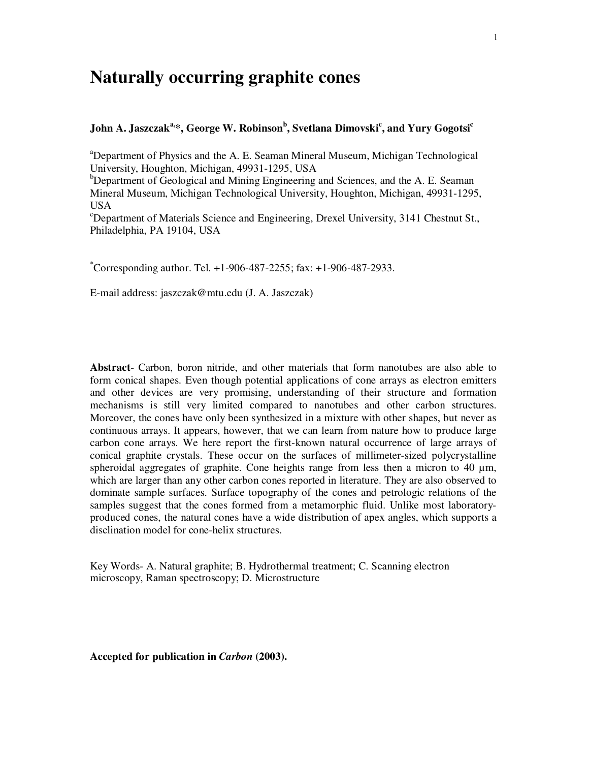# **Naturally occurring graphite cones**

# **John A. Jaszczak a, \*, George W. Robinson b , Svetlana Dimovski c , and Yury Gogotsi c**

<sup>a</sup>Department of Physics and the A. E. Seaman Mineral Museum, Michigan Technological University, Houghton, Michigan, 49931-1295, USA

 $b$ Department of Geological and Mining Engineering and Sciences, and the A. E. Seaman Mineral Museum, Michigan Technological University, Houghton, Michigan, 49931-1295, USA

 $c^{\circ}$ Department of Materials Science and Engineering, Drexel University, 3141 Chestnut St., Philadelphia, PA 19104, USA

 $^{\circ}$ Corresponding author. Tel. +1-906-487-2255; fax: +1-906-487-2933.

E-mail address: jaszczak@mtu.edu (J. A. Jaszczak)

**Abstract**- Carbon, boron nitride, and other materials that form nanotubes are also able to form conical shapes. Even though potential applications of cone arrays as electron emitters and other devices are very promising, understanding of their structure and formation mechanisms is still very limited compared to nanotubes and other carbon structures. Moreover, the cones have only been synthesized in a mixture with other shapes, but never as continuous arrays. It appears, however, that we can learn from nature how to produce large carbon cone arrays. We here report the first-known natural occurrence of large arrays of conical graphite crystals. These occur on the surfaces of millimeter-sized polycrystalline spheroidal aggregates of graphite. Cone heights range from less then a micron to 40  $\mu$ m, which are larger than any other carbon cones reported in literature. They are also observed to dominate sample surfaces. Surface topography of the cones and petrologic relations of the samples suggest that the cones formed from a metamorphic fluid. Unlike most laboratoryproduced cones, the natural cones have a wide distribution of apex angles, which supports a disclination model for cone-helix structures.

Key Words- A. Natural graphite; B. Hydrothermal treatment; C. Scanning electron microscopy, Raman spectroscopy; D. Microstructure

**Accepted for publication in** *Carbon* **(2003).**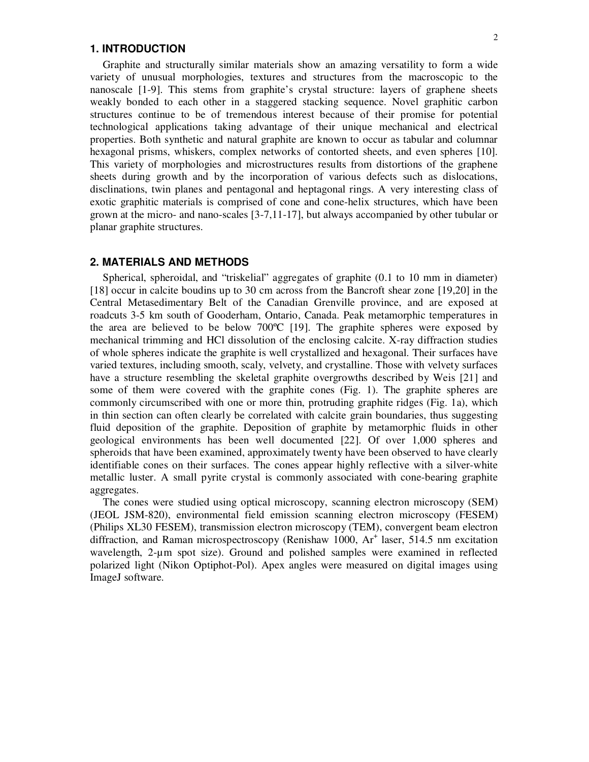#### **1. INTRODUCTION**

Graphite and structurally similar materials show an amazing versatility to form a wide variety of unusual morphologies, textures and structures from the macroscopic to the nanoscale [1-9]. This stems from graphite's crystal structure: layers of graphene sheets weakly bonded to each other in a staggered stacking sequence. Novel graphitic carbon structures continue to be of tremendous interest because of their promise for potential technological applications taking advantage of their unique mechanical and electrical properties. Both synthetic and natural graphite are known to occur as tabular and columnar hexagonal prisms, whiskers, complex networks of contorted sheets, and even spheres [10]. This variety of morphologies and microstructures results from distortions of the graphene sheets during growth and by the incorporation of various defects such as dislocations, disclinations, twin planes and pentagonal and heptagonal rings. A very interesting class of exotic graphitic materials is comprised of cone and cone-helix structures, which have been grown at the micro- and nano-scales [3-7,11-17], but always accompanied by other tubular or planar graphite structures.

### **2. MATERIALS AND METHODS**

Spherical, spheroidal, and "triskelial" aggregates of graphite (0.1 to 10 mm in diameter) [18] occur in calcite boudins up to 30 cm across from the Bancroft shear zone [19,20] in the Central Metasedimentary Belt of the Canadian Grenville province, and are exposed at roadcuts 3-5 km south of Gooderham, Ontario, Canada. Peak metamorphic temperatures in the area are believed to be below  $700^{\circ}C$  [19]. The graphite spheres were exposed by mechanical trimming and HCl dissolution of the enclosing calcite. X-ray diffraction studies of whole spheres indicate the graphite is well crystallized and hexagonal. Their surfaces have varied textures, including smooth, scaly, velvety, and crystalline. Those with velvety surfaces have a structure resembling the skeletal graphite overgrowths described by Weis [21] and some of them were covered with the graphite cones (Fig. 1). The graphite spheres are commonly circumscribed with one or more thin, protruding graphite ridges (Fig. 1a), which in thin section can often clearly be correlated with calcite grain boundaries, thus suggesting fluid deposition of the graphite. Deposition of graphite by metamorphic fluids in other geological environments has been well documented [22]. Of over 1,000 spheres and spheroids that have been examined, approximately twenty have been observed to have clearly identifiable cones on their surfaces. The cones appear highly reflective with a silver-white metallic luster. A small pyrite crystal is commonly associated with cone-bearing graphite aggregates.

The cones were studied using optical microscopy, scanning electron microscopy (SEM) (JEOL JSM-820), environmental field emission scanning electron microscopy (FESEM) (Philips XL30 FESEM), transmission electron microscopy (TEM), convergent beam electron diffraction, and Raman microspectroscopy (Renishaw 1000, Ar<sup>+</sup> laser, 514.5 nm excitation wavelength, 2-um spot size). Ground and polished samples were examined in reflected polarized light (Nikon Optiphot-Pol). Apex angles were measured on digital images using ImageJ software.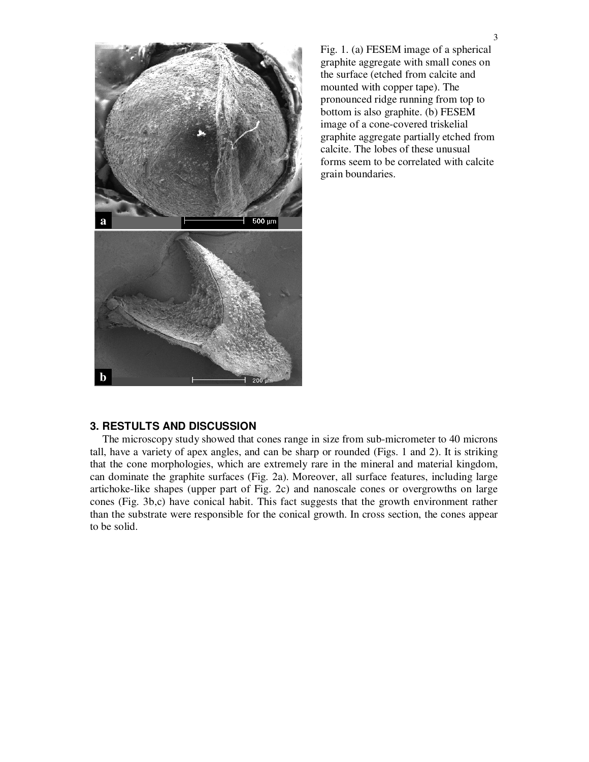

Fig. 1. (a) FESEM image of a spherical graphite aggregate with small cones on the surface (etched from calcite and mounted with copper tape). The pronounced ridge running from top to bottom is also graphite. (b) FESEM image of a cone-covered triskelial graphite aggregate partially etched from calcite. The lobes of these unusual forms seem to be correlated with calcite grain boundaries.

### **3. RESTULTS AND DISCUSSION**

The microscopy study showed that cones range in size from sub-micrometer to 40 microns tall, have a variety of apex angles, and can be sharp or rounded (Figs. 1 and 2). It is striking that the cone morphologies, which are extremely rare in the mineral and material kingdom, can dominate the graphite surfaces (Fig. 2a). Moreover, all surface features, including large artichoke-like shapes (upper part of Fig. 2c) and nanoscale cones or overgrowths on large cones (Fig. 3b,c) have conical habit. This fact suggests that the growth environment rather than the substrate were responsible for the conical growth. In cross section, the cones appear to be solid.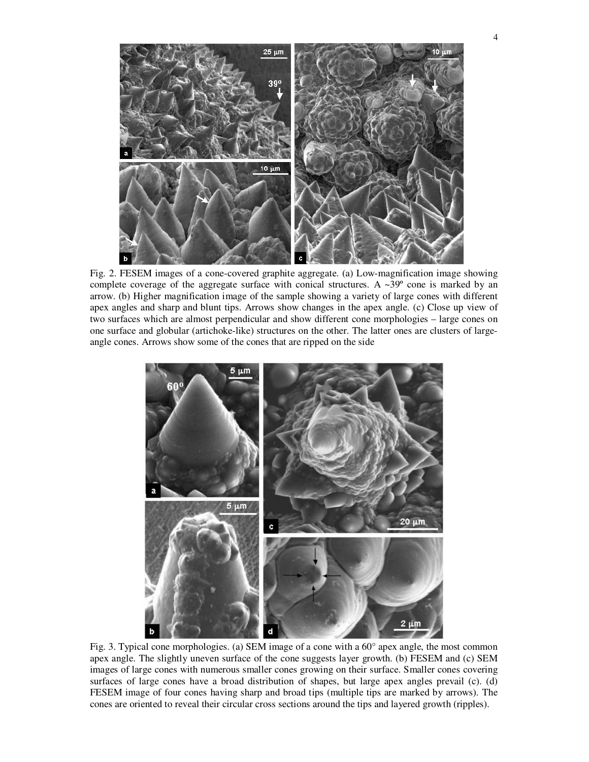

Fig. 2. FESEM images of a cone-covered graphite aggregate. (a) Low-magnification image showing complete coverage of the aggregate surface with conical structures. A ~39° cone is marked by an arrow. (b) Higher magnification image of the sample showing a variety of large cones with different apex angles and sharp and blunt tips. Arrows show changes in the apex angle. (c) Close up view of two surfaces which are almost perpendicular and show different cone morphologies – large cones on one surface and globular (artichoke-like) structures on the other. The latter ones are clusters of largeangle cones. Arrows show some of the cones that are ripped on the side



Fig. 3. Typical cone morphologies. (a) SEM image of a cone with a 60° apex angle, the most common apex angle. The slightly uneven surface of the cone suggests layer growth. (b) FESEM and (c) SEM images of large cones with numerous smaller cones growing on their surface. Smaller cones covering surfaces of large cones have a broad distribution of shapes, but large apex angles prevail (c). (d) FESEM image of four cones having sharp and broad tips (multiple tips are marked by arrows). The cones are oriented to reveal their circular cross sections around the tips and layered growth (ripples).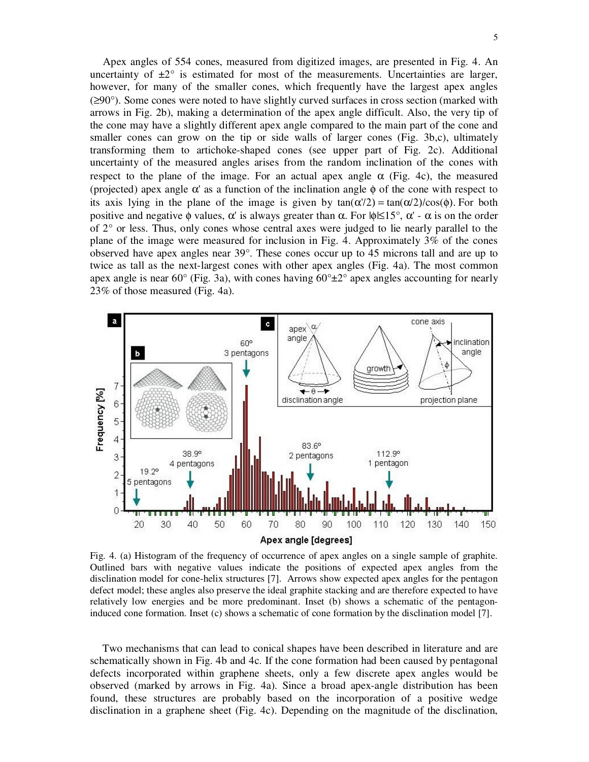Apex angles of 554 cones, measured from digitized images, are presented in Fig. 4. An uncertainty of  $\pm 2^{\circ}$  is estimated for most of the measurements. Uncertainties are larger, however, for many of the smaller cones, which frequently have the largest apex angles (≥90°). Some cones were noted to have slightly curved surfaces in cross section (marked with arrows in Fig. 2b), making a determination of the apex angle difficult. Also, the very tip of the cone may have a slightly different apex angle compared to the main part of the cone and smaller cones can grow on the tip or side walls of larger cones (Fig. 3b,c), ultimately transforming them to artichoke-shaped cones (see upper part of Fig. 2c). Additional uncertainty of the measured angles arises from the random inclination of the cones with respect to the plane of the image. For an actual apex angle  $\alpha$  (Fig. 4c), the measured (projected) apex angle  $\alpha'$  as a function of the inclination angle  $\phi$  of the cone with respect to its axis lying in the plane of the image is given by  $tan(\alpha/2) = tan(\alpha/2)/cos(\phi)$ . For both positive and negative  $\phi$  values,  $\alpha'$  is always greater than  $\alpha$ . For  $|\phi| \leq 15^{\circ}$ ,  $\alpha'$  -  $\alpha$  is on the order of 2° or less. Thus, only cones whose central axes were judged to lie nearly parallel to the plane of the image were measured for inclusion in Fig. 4. Approximately 3% of the cones observed have apex angles near 39°. These cones occur up to 45 microns tall and are up to twice as tall as the next-largest cones with other apex angles (Fig. 4a). The most common apex angle is near 60 $^{\circ}$  (Fig. 3a), with cones having 60 $^{\circ}$ ±2 $^{\circ}$  apex angles accounting for nearly 23% of those measured (Fig. 4a).



Fig. 4. (a) Histogram of the frequency of occurrence of apex angles on a single sample of graphite. Outlined bars with negative values indicate the positions of expected apex angles from the disclination model for cone-helix structures [7]. Arrows show expected apex angles for the pentagon defect model; these angles also preserve the ideal graphite stacking and are therefore expected to have relatively low energies and be more predominant. Inset (b) shows a schematic of the pentagoninduced cone formation. Inset (c) shows a schematic of cone formation by the disclination model [7].

Two mechanisms that can lead to conical shapes have been described in literature and are schematically shown in Fig. 4b and 4c. If the cone formation had been caused by pentagonal defects incorporated within graphene sheets, only a few discrete apex angles would be observed (marked by arrows in Fig. 4a). Since a broad apex-angle distribution has been found, these structures are probably based on the incorporation of a positive wedge disclination in a graphene sheet (Fig. 4c). Depending on the magnitude of the disclination,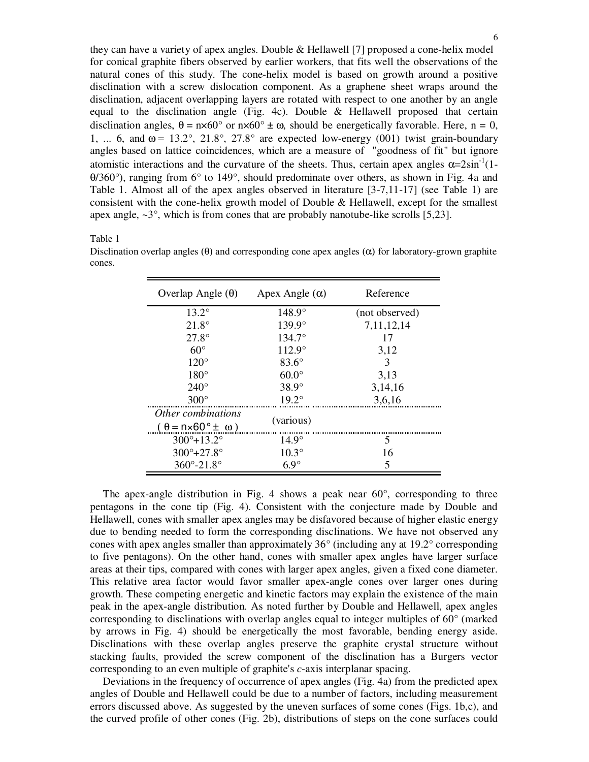they can have a variety of apex angles. Double & Hellawell [7] proposed a cone-helix model for conical graphite fibers observed by earlier workers, that fits well the observations of the natural cones of this study. The cone-helix model is based on growth around a positive disclination with a screw dislocation component. As a graphene sheet wraps around the disclination, adjacent overlapping layers are rotated with respect to one another by an angle equal to the disclination angle (Fig. 4c). Double & Hellawell proposed that certain disclination angles,  $\theta = n \times 60^{\circ}$  or  $n \times 60^{\circ} \pm \omega$ , should be energetically favorable. Here,  $n = 0$ , 1, ... 6, and  $\omega = 13.2^{\circ}$ , 21.8°, 27.8° are expected low-energy (001) twist grain-boundary angles based on lattice coincidences, which are a measure of "goodness of fit" but ignore atomistic interactions and the curvature of the sheets. Thus, certain apex angles  $\alpha = 2\sin^{-1}(1-\alpha)$ θ/360°), ranging from 6° to 149°, should predominate over others, as shown in Fig. 4a and Table 1. Almost all of the apex angles observed in literature [3-7,11-17] (see Table 1) are consistent with the cone-helix growth model of Double & Hellawell, except for the smallest apex angle,  $\sim 3^{\circ}$ , which is from cones that are probably nanotube-like scrolls [5,23].

#### Table 1

Disclination overlap angles ( $\theta$ ) and corresponding cone apex angles ( $\alpha$ ) for laboratory-grown graphite cones.

| Overlap Angle $(\theta)$                                          | Apex Angle $(\alpha)$ | Reference      |
|-------------------------------------------------------------------|-----------------------|----------------|
| $13.2^{\circ}$                                                    | $148.9^\circ$         | (not observed) |
| $21.8^\circ$                                                      | $139.9^{\circ}$       | 7, 11, 12, 14  |
| $27.8^\circ$                                                      | 134.7°                | 17             |
| $60^\circ$                                                        | $112.9^\circ$         | 3,12           |
| $120^\circ$                                                       | $83.6^\circ$          | 3              |
| $180^\circ$                                                       | $60.0^\circ$          | 3,13           |
| $240^\circ$                                                       | $38.9^\circ$          | 3,14,16        |
| $300^\circ$                                                       | $19.2^{\circ}$        | 3,6,16         |
| Other combinations<br>$(\theta = n \times 60^{\circ} \pm \omega)$ | (various)             |                |
| $300^{\circ}+13.2^{\circ}$                                        | $14.9^\circ$          | 5              |
| $300^{\circ}+27.8^{\circ}$                                        | $10.3^{\circ}$        | 16             |
| $360^{\circ} - 21.8^{\circ}$                                      | $6.9^\circ$           | 5              |

The apex-angle distribution in Fig. 4 shows a peak near  $60^{\circ}$ , corresponding to three pentagons in the cone tip (Fig. 4). Consistent with the conjecture made by Double and Hellawell, cones with smaller apex angles may be disfavored because of higher elastic energy due to bending needed to form the corresponding disclinations. We have not observed any cones with apex angles smaller than approximately 36° (including any at 19.2° corresponding to five pentagons). On the other hand, cones with smaller apex angles have larger surface areas at their tips, compared with cones with larger apex angles, given a fixed cone diameter. This relative area factor would favor smaller apex-angle cones over larger ones during growth. These competing energetic and kinetic factors may explain the existence of the main peak in the apex-angle distribution. As noted further by Double and Hellawell, apex angles corresponding to disclinations with overlap angles equal to integer multiples of 60° (marked by arrows in Fig. 4) should be energetically the most favorable, bending energy aside. Disclinations with these overlap angles preserve the graphite crystal structure without stacking faults, provided the screw component of the disclination has a Burgers vector corresponding to an even multiple of graphite's *c*-axis interplanar spacing.

Deviations in the frequency of occurrence of apex angles (Fig. 4a) from the predicted apex angles of Double and Hellawell could be due to a number of factors, including measurement errors discussed above. As suggested by the uneven surfaces of some cones (Figs. 1b,c), and the curved profile of other cones (Fig. 2b), distributions of steps on the cone surfaces could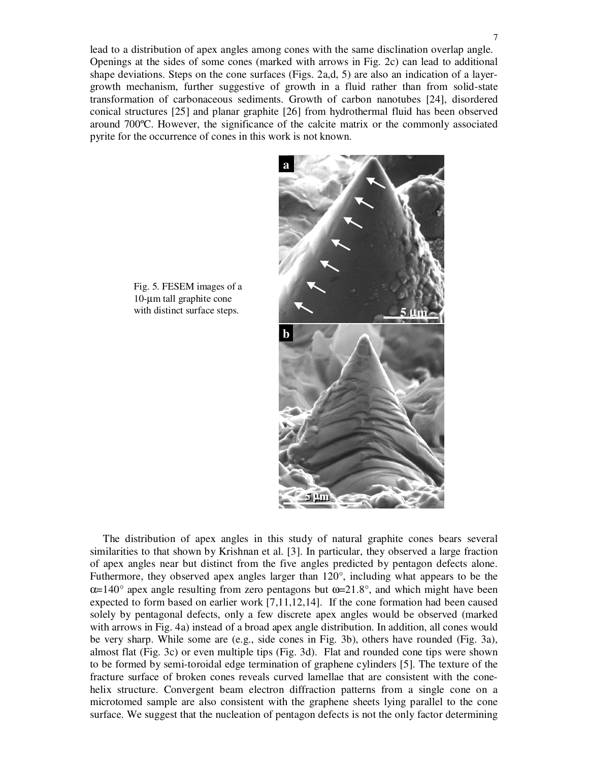lead to a distribution of apex angles among cones with the same disclination overlap angle. Openings at the sides of some cones (marked with arrows in Fig. 2c) can lead to additional shape deviations. Steps on the cone surfaces (Figs. 2a,d, 5) are also an indication of a layergrowth mechanism, further suggestive of growth in a fluid rather than from solid-state transformation of carbonaceous sediments. Growth of carbon nanotubes [24], disordered conical structures [25] and planar graphite [26] from hydrothermal fluid has been observed around 700ºC. However, the significance of the calcite matrix or the commonly associated pyrite for the occurrence of cones in this work is not known.



Fig. 5. FESEM images of a 10-µm tall graphite cone with distinct surface steps.

The distribution of apex angles in this study of natural graphite cones bears several similarities to that shown by Krishnan et al. [3]. In particular, they observed a large fraction of apex angles near but distinct from the five angles predicted by pentagon defects alone. Futhermore, they observed apex angles larger than 120°, including what appears to be the  $\alpha$ =140° apex angle resulting from zero pentagons but  $\omega$ =21.8°, and which might have been expected to form based on earlier work [7,11,12,14]. If the cone formation had been caused solely by pentagonal defects, only a few discrete apex angles would be observed (marked with arrows in Fig. 4a) instead of a broad apex angle distribution. In addition, all cones would be very sharp. While some are (e.g., side cones in Fig. 3b), others have rounded (Fig. 3a), almost flat (Fig. 3c) or even multiple tips (Fig. 3d). Flat and rounded cone tips were shown to be formed by semi-toroidal edge termination of graphene cylinders [5]. The texture of the fracture surface of broken cones reveals curved lamellae that are consistent with the conehelix structure. Convergent beam electron diffraction patterns from a single cone on a microtomed sample are also consistent with the graphene sheets lying parallel to the cone surface. We suggest that the nucleation of pentagon defects is not the only factor determining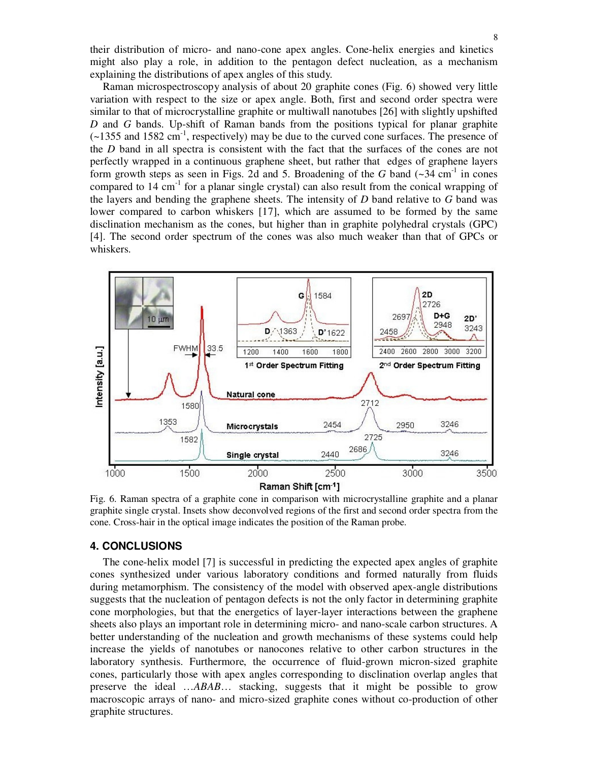their distribution of micro- and nano-cone apex angles. Cone-helix energies and kinetics might also play a role, in addition to the pentagon defect nucleation, as a mechanism explaining the distributions of apex angles of this study*.*

Raman microspectroscopy analysis of about 20 graphite cones (Fig. 6) showed very little variation with respect to the size or apex angle. Both, first and second order spectra were similar to that of microcrystalline graphite or multiwall nanotubes [26] with slightly upshifted *D* and *G* bands. Up-shift of Raman bands from the positions typical for planar graphite (~1355 and 1582 cm -1 , respectively) may be due to the curved cone surfaces. The presence of the *D* band in all spectra is consistent with the fact that the surfaces of the cones are not perfectly wrapped in a continuous graphene sheet, but rather that edges of graphene layers form growth steps as seen in Figs. 2d and 5. Broadening of the  $G$  band  $(\sim]34 \text{ cm}^{-1}$  in cones compared to 14 cm<sup>-1</sup> for a planar single crystal) can also result from the conical wrapping of the layers and bending the graphene sheets. The intensity of *D* band relative to *G* band was lower compared to carbon whiskers [17], which are assumed to be formed by the same disclination mechanism as the cones, but higher than in graphite polyhedral crystals (GPC) [4]. The second order spectrum of the cones was also much weaker than that of GPCs or whiskers.



Fig. 6. Raman spectra of a graphite cone in comparison with microcrystalline graphite and a planar graphite single crystal. Insets show deconvolved regions of the first and second order spectra from the cone. Cross-hair in the optical image indicates the position of the Raman probe.

#### **4. CONCLUSIONS**

The cone-helix model [7] is successful in predicting the expected apex angles of graphite cones synthesized under various laboratory conditions and formed naturally from fluids during metamorphism. The consistency of the model with observed apex-angle distributions suggests that the nucleation of pentagon defects is not the only factor in determining graphite cone morphologies, but that the energetics of layer-layer interactions between the graphene sheets also plays an important role in determining micro- and nano-scale carbon structures. A better understanding of the nucleation and growth mechanisms of these systems could help increase the yields of nanotubes or nanocones relative to other carbon structures in the laboratory synthesis. Furthermore, the occurrence of fluid-grown micron-sized graphite cones, particularly those with apex angles corresponding to disclination overlap angles that preserve the ideal …*ABAB*… stacking, suggests that it might be possible to grow macroscopic arrays of nano- and micro-sized graphite cones without co-production of other graphite structures.